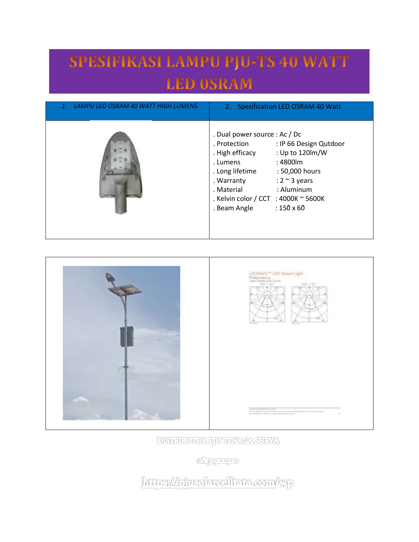## SPESIFIKASI LAMPU PJU-TS 40 WATT **LED OSRAM**

| LAMPU LED OSRAM 40 WATT HIGH LUMENS | 2. Spesification LED OSRAM 40 Watt                                                                                                                                                                                                                                                                                           |
|-------------------------------------|------------------------------------------------------------------------------------------------------------------------------------------------------------------------------------------------------------------------------------------------------------------------------------------------------------------------------|
|                                     | . Dual power source : Ac / Dc<br>: IP 66 Design Qutdoor<br>. Protection<br>: Up to 120lm/W<br>. High efficacy<br>: 4800lm<br>. Lumens<br>. Long lifetime<br>: 50,000 hours<br>: $2 \sim 3$ years<br>. Warranty<br>$:$ Aluminum<br>. Material<br>. Kelvin color / CCT : 4000K $\sim$ 5600K<br>$:150\times 60$<br>. Beam Angle |





DISTRIBUTORE JUTHER CASURYA

**CHEICHTED** 

http://horrolarealtata.com/wp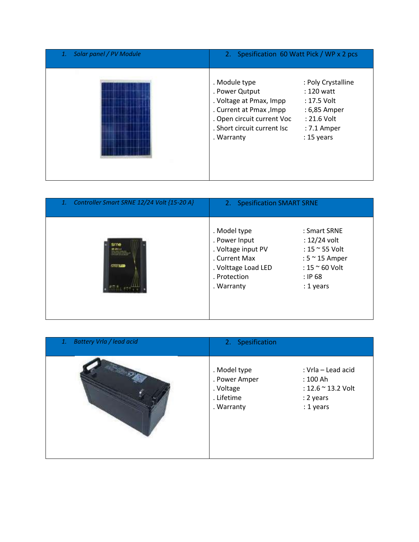| Solar panel / PV Module<br>1. | 2. Spesification 60 Watt Pick / WP x 2 pcs                                                                                                                                                                                                                                          |  |
|-------------------------------|-------------------------------------------------------------------------------------------------------------------------------------------------------------------------------------------------------------------------------------------------------------------------------------|--|
|                               | . Module type<br>: Poly Crystalline<br>. Power Qutput<br>$: 120$ watt<br>. Voltage at Pmax, Impp<br>: 17.5 Volt<br>. Current at Pmax, Impp<br>: 6,85 Amper<br>: 21.6 Volt<br>. Open circuit current Voc<br>. Short circuit current Isc<br>: 7.1 Amper<br>$: 15$ years<br>. Warranty |  |

| Controller Smart SRNE 12/24 Volt {15-20 A}<br>1. | 2. Spesification SMART SRNE                                                                                               |                                                                                                                                     |
|--------------------------------------------------|---------------------------------------------------------------------------------------------------------------------------|-------------------------------------------------------------------------------------------------------------------------------------|
| <b>STORIED</b>                                   | . Model type<br>. Power Input<br>. Voltage input PV<br>. Current Max<br>. Volttage Load LED<br>. Protection<br>. Warranty | : Smart SRNE<br>$: 12/24$ volt<br>: 15 $\approx$ 55 Volt<br>: $5 \approx 15$ Amper<br>: $15 \approx 60$ Volt<br>: IP68<br>: 1 years |

| <b>Battery Vrla / lead acid</b><br>1. | 2. Spesification                                                                                                                                         |  |
|---------------------------------------|----------------------------------------------------------------------------------------------------------------------------------------------------------|--|
|                                       | . Model type<br>: Vrla - Lead acid<br>. Power Amper<br>: 100 Ah<br>. Voltage<br>: 12.6 ~ 13.2 Volt<br>. Lifetime<br>: 2 years<br>: 1 years<br>. Warranty |  |